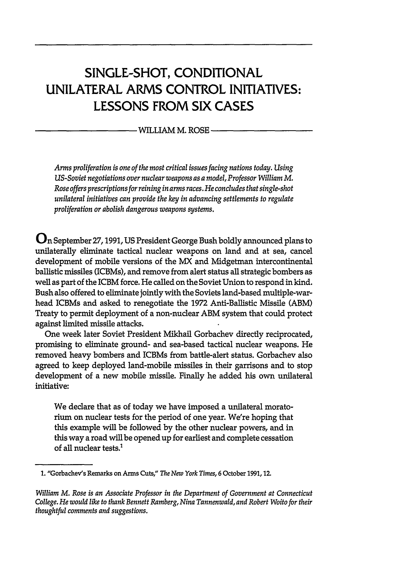# **SINGLE-SHOT, CONDITIONAL UNILATERAL** ARMS CONTROL **INITIATIVES: LESSONS** FROM SIX **CASES**

**WILLIAM** M. ROSE

*Arms proliferation is one of the most critical issues facing nations today. Using US-Soviet negotiations over nuclear weapons as a model, Professor William M. Rose offers prescriptions for reining in arms races. He concludes that single-shot unilateral initiatives can provide the key in advancing settlements to regulate proliferation or abolish dangerous weapons systems.*

On September **27,1991, US** President George Bush boldly announced plans to unilaterally eliminate tactical nuclear weapons on land and at sea, cancel development of mobile versions of the MX and Midgetman intercontinental ballistic missiles (ICBMs), and remove from alert status all strategic bombers as well as part of the ICBM force. He called on the Soviet Union to respond in kind. Bush also offered to eliminate jointly with the Soviets land-based multiple-warhead ICBMs and asked to renegotiate the **1972** Anti-Ballistic Missile **(ABM)** Treaty to permit deployment of a non-nuclear ABM system that could protect against limited missile attacks.

One week later Soviet President Mikhail Gorbachev directly reciprocated, promising to eliminate ground- and sea-based tactical nuclear weapons. He removed heavy bombers and ICBMs from battle-alert status. Gorbachev also agreed to keep deployed land-mobile missiles in their garrisons and to stop development of a new mobile missile. Finally he added his own unilateral initiative:

We declare that as of today we have imposed a unilateral moratorium on nuclear tests for the period of one year. We're hoping that this example will be followed **by** the other nuclear powers, and in this way a road will be opened up for earliest and complete cessation of all nuclear tests.'

**<sup>1.</sup>** "Gorbachev's Remarks on Arms Cuts," *The New York Times,* **6** October **1991,12.**

*William M. Rose is an Associate Professor in the Department of Government at Connecticut College. He would like to thank Bennett Ramberg, Nina Tannenwald, and Robert Woito for their thoughtful comments and suggestions.*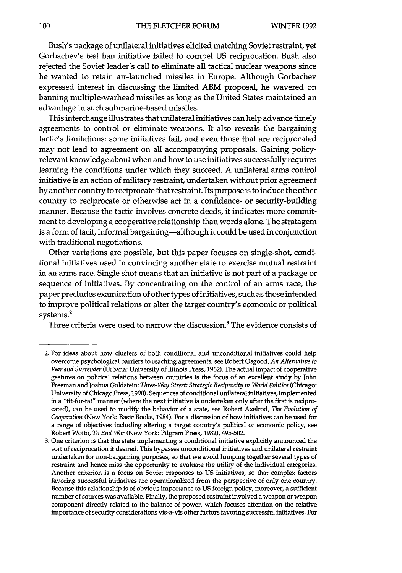Bush's package of unilateral initiatives elicited matching Soviet restraint, yet Gorbachev's test ban initiative failed to compel **US** reciprocation. Bush also rejected the Soviet leader's call to eliminate all tactical nuclear weapons since he wanted to retain air-launched missiles in Europe. Although Gorbachev expressed interest in discussing the limited ABM proposal, he wavered on banning multiple-warhead missiles as long as the United States maintained an advantage in such submarine-based missiles.

This interchange illustrates that unilateral initiatives can help advance timely agreements to control or eliminate weapons. It also reveals the bargaining tactic's limitations: some initiatives fail, and even those that are reciprocated may not lead to agreement on all accompanying proposals. Gaining policyrelevant knowledge about when and how to use initiatives successfully requires learning the conditions under which they succeed. **A** unilateral arms control initiative is an action of military restraint, undertaken without prior agreement **by** another country to reciprocate that restraint. Its purpose is to induce the other country to reciprocate or otherwise act in a confidence- or security-building manner. Because the tactic involves concrete deeds, it indicates more commitment to developing a cooperative relationship than words alone. The stratagem is a form of tacit, informal bargaining--although it could be used in conjunction with traditional negotiations.

Other variations are possible, but this paper focuses on single-shot, conditional initiatives used in convincing another state to exercise mutual restraint in an arms race. Single shot means that an initiative is not part of a package or sequence of initiatives. By concentrating on the control of an arms race, the paper precludes examination of other types of initiatives, such as those intended to improve political relations or alter the target country's economic or political systems.<sup>2</sup>

Three criteria were used to narrow the discussion.<sup>3</sup> The evidence consists of

<sup>2.</sup> For ideas about how clusters of both conditional and unconditional initiatives could help overcome psychological barriers to reaching agreements, see Robert Osgood, *An Alternative to War and Surrender* (Urbana: University of illinois Press, **1962).** The actual impact of cooperative gestures on political relations between countries is the focus of an excellent study **by** John Freeman and Joshua Goldstein: *Three-Way Street: Strategic Reciprocity in World Politics* (Chicago: University of Chicago Press, **1990).** Sequences of conditional unilateral initiatives, implemented in a "tit-for-tat" manner (where the next initiative is undertaken only after the first is reciprocated), can be used to modify the behavior of a state, see Robert Axelrod, *The Evolution of Cooperation* (New York: Basic Books, 1984). For a discussion of how initiatives can be used for a range of objectives including altering a target country's political or economic policy, see Robert Woito, *To End War* (New York: Pilgram Press, **1982), 495-502.**

**<sup>3.</sup>** One criterion is that the state implementing a conditional initiative explicitly announced the sort of reciprocation it desired. This bypasses unconditional initiatives and unilateral restraint undertaken for non-bargaining purposes, so that we avoid lumping together several types of restraint and hence miss the opportunity to evaluate the utility of the individual categories. Another criterion is a focus on Soviet responses to **US** initiatives, so that complex factors favoring successful initiatives are operationalized from the perspective of only one country. Because this relationship is of obvious importance to US foreign policy, moreover, a sufficient number of sources was available. Finally, the proposed restraint involved a weapon or weapon component directly related to the balance of power, which focuses attention on the relative importance of security considerations vis-a-vis other factors favoring successful initiatives. For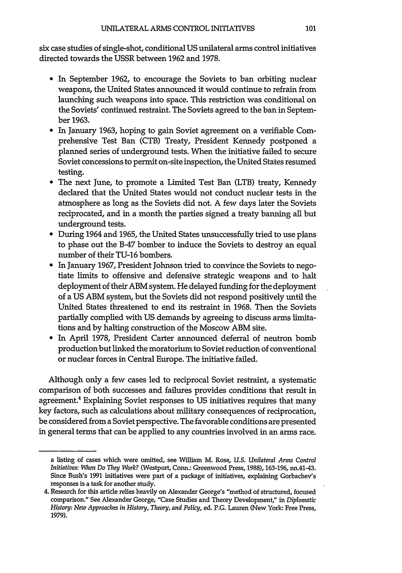six case studies of single-shot, conditional US unilateral arms control initiatives directed towards the USSR between 1962 and 1978.

- \* In September 1962, to encourage the Soviets to ban orbiting nuclear weapons, the United States announced it would continue to refrain from launching such weapons into space. This restriction was conditional on the Soviets' continued restraint. The Soviets agreed to the ban in September 1963.
- \* In January 1963, hoping to gain Soviet agreement on a verifiable Comprehensive Test Ban (CTB) Treaty, President Kennedy postponed a planned series of underground tests. When the initiative failed to secure Soviet concessions to permit on-site inspection, the United States resumed testing.
- \* The next June, to promote a Limited Test Ban (LTB) treaty, Kennedy declared that the United States would not conduct nuclear tests in the atmosphere as long as the Soviets did not. A few days later the Soviets reciprocated, and in a month the parties signed a treaty banning all but underground tests.
- \* During 1964 and 1965, the United States unsuccessfully tried to use plans to phase out the B-47 bomber to induce the Soviets to destroy an equal number of their TU-16 bombers.
- **"** In January 1967, President Johnson tried to convince the Soviets to negotiate limits to offensive and defensive strategic weapons and to halt deployment of their ABM system. He delayed funding for the deployment of a US ABM system, but the Soviets did not respond positively until the United States threatened to end its restraint in 1968. Then the Soviets partially complied with US demands by agreeing to discuss arms limitations and by halting construction of the Moscow ABM site.
- **"** In April 1978, President Carter announced deferral of neutron bomb production but linked the moratorium to Soviet reduction of conventional or nuclear forces in Central Europe. The initiative failed.

Although only a few cases led to reciprocal Soviet restraint, a systematic comparison of both successes and failures provides conditions that result in agreement.<sup>4</sup> Explaining Soviet responses to US initiatives requires that many key factors, such as calculations about military consequences of reciprocation, be considered from a Soviet perspective. The favorable conditions are presented in general terms that can be applied to any countries involved in an arms race.

a listing of cases which were omitted, see William M. Rose, *U.S. Unilateral Arms Control Initiatives: When Do They Work?* (Westport, Conn.: Greenwood Press, **1988), 163-196,** nn.41-43. Since Bush's **1991** initiatives were part of a package of initiatives, explaining Gorbachev's responses is a task for another study.

<sup>4.</sup> Research for this article relies heavily on Alexander George's "method of structured, focused comparison." See Alexander George, "Case Studies and Theory Development," in *Diplomatic History: New Approaches in History, Theory, and Policy,* ed. **P.G.** Lauren (New York: Free Press, **1979).**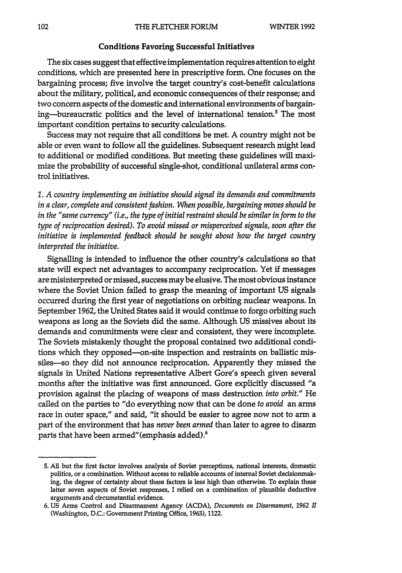#### Conditions Favoring Successful Initiatives

The six cases suggest that effective implementation requires attention to eight conditions, which are presented here in prescriptive form. One focuses on the bargaining process; five involve the target country's cost-benefit calculations about the military, political, and economic consequences of their response; and two concern aspects of the domestic and international environments of bargaining—bureaucratic politics and the level of international tension.<sup>5</sup> The most important condition pertains to security calculations.

Success may not require that all conditions be met. **A** country might not be able or even want to follow all the guidelines. Subsequent research might lead to additional or modified conditions. But meeting these guidelines will maximize the probability of successful single-shot, conditional unilateral arms control initiatives.

*1. A country implementing an initiative should signal its demands and commitments in a clear, complete and consistent fashion. When possible, bargaining moves should be in the "same currency" (i.e., the type of initial restraint should be similar inform to the type of reciprocation desired). To avoid missed or misperceived signals, soon after the initiative is implemented feedback should be sought about how the target country interpreted the initiative.*

Signalling is intended to influence the other country's calculations so that state will expect net advantages to accompany reciprocation. Yet **if** messages are misinterpreted or missed, success maybe elusive. The most obvious instance where the Soviet Union failed to grasp the meaning of important **US** signals occurred during the first year of negotiations on orbiting nuclear weapons. In September **1962,** the United States said it would continue to forgo orbiting such weapons as long as the Soviets did the same. Although **US** missives about its demands and commitments were clear and consistent, they were incomplete. The Soviets mistakenly thought the proposal contained two additional conditions which they opposed-on-site inspection and restraints on ballistic missiles-so they did not announce reciprocation. Apparently they missed the signals in United Nations representative Albert Gore's speech given several months after the initiative was first announced. Gore explicitly discussed "a provision against the placing of weapons of mass destruction *into orbit."* He called on the parties to "do everything now that can be done *to avoid* an arms race in outer space," and said, "it should be easier to agree now not to arm a part of the environment that has *never been armed* than later to agree to disarm parts that have been armed"(emphasis added).6

**<sup>5.</sup> All** but the first factor involves analysis of Soviet perceptions, national interests, domestic politics, or a combination. Without access to reliable accounts of internal Soviet decisionmaking, the degree of certainty about these factors is less high than otherwise. To explain these latter seven aspects of Soviet responses, I relied on a combination of plausible deductive arguments and circumstantial evidence.

**<sup>6.</sup> US** Arms Control and Disarmament Agency **(ACDA),** *Documents on Disarmament, 1962 U* (Washington, **D.C.:** Government Printing Office, **1963), 1122.**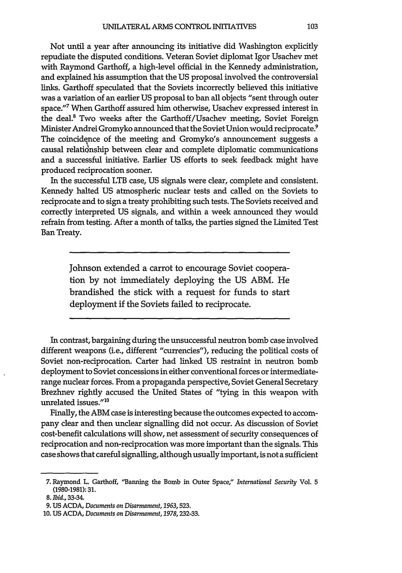Not until a year after announcing its initiative did Washington explicitly repudiate the disputed conditions. Veteran Soviet diplomat Igor Usachev met with Raymond Garthoff, a high-level official in the Kennedy administration, and explained his assumption that the US proposal involved the controversial links. Garthoff speculated that the Soviets incorrectly believed this initiative was a variation of an earlier US proposal to ban all objects "sent through outer space."7 When Garthoff assured him otherwise, Usachev expressed interest in the deal.8 Two weeks after the Garthoff/Usachev meeting, Soviet Foreign Minister Andrei Gromyko announced that the Soviet Union would reciprocate.<sup>9</sup> The coincidence of the meeting and Gromyko's announcement suggests a causal relationship between clear and complete diplomatic communications and a successful initiative. Earlier US efforts to seek feedback might have produced reciprocation sooner.

In the successful LTB case, US signals were clear, complete and consistent. Kennedy halted US atmospheric nuclear tests and called on the Soviets to reciprocate and to sign a treaty prohibiting such tests. The Soviets received and correctly interpreted US signals, and within a week announced they would refrain from testing. After a month of talks, the parties signed the Limited Test Ban Treaty.

> Johnson extended a carrot to encourage Soviet cooperation by not immediately deploying the US ABM. He brandished the stick with a request for funds to start deployment if the Soviets failed to reciprocate.

In contrast, bargaining during the unsuccessful neutron bomb case involved different weapons (i.e., different "currencies"), reducing the political costs of Soviet non-reciprocation. Carter had linked US restraint in neutron bomb deployment to Soviet concessions in either conventional forces or intermediaterange nuclear forces. From a propaganda perspective, Soviet General Secretary Brezhnev rightly accused the United States of "tying in this weapon with unrelated issues."<sup>10</sup>

Finally, the ABM case is interesting because the outcomes expected to accompany clear and then unclear signalling did not occur. As discussion of Soviet cost-benefit calculations will show, net assessment of security consequences of reciprocation and non-reciprocation was more important than the signals. This case shows that careful signalling, although usually important, is not a sufficient

**<sup>7.</sup>** Raymond L. Garthoff, "Banning the Bomb in Outer Space," *International Security* Vol. 5 **(1980-1981): 31.**

*<sup>8.</sup> Ibid.,* 33-34.

*<sup>9.</sup>* **US ACDA,** *Documents on Disarmament, 1963,523.*

**<sup>10.</sup> US ACDA,** *Documents on Disarmament,* **1978,232-33.**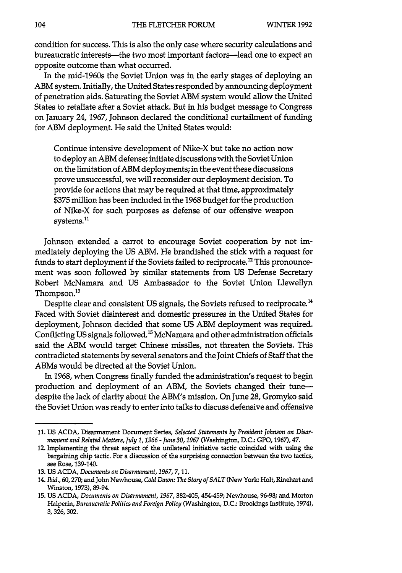condition for success. This is also the only case where security calculations and bureaucratic interests-the two most important factors-lead one to expect an opposite outcome than what occurred.

In the mid-1960s the Soviet Union was in the early stages of deploying an ABM system. Initially, the United States responded **by** announcing deployment of penetration aids. Saturating the Soviet ABM system would allow the United States to retaliate after a Soviet attack. But in his budget message to Congress on January 24, **1967,** Johnson declared the conditional curtailment of funding for ABM deployment. He said the United States would:

Continue intensive development of Nike-X but take no action now to deploy an ABM defense; initiate discussions with the Soviet Union on the limitation of ABM deployments; in the event these discussions prove unsuccessful, we will reconsider our deployment decision. To provide for actions that may be required at that time, approximately **\$375** million has been included in the **1968** budget for the production of Nike-X for such purposes as defense of our offensive weapon systems.<sup>11</sup>

Johnson extended a carrot to encourage Soviet cooperation **by** not immediately deploying the **US** ABM. He brandished the stick with a request for funds to start deployment if the Soviets failed to reciprocate.<sup>12</sup> This pronouncement was soon followed **by** similar statements from **US** Defense Secretary Robert McNamara and **US** Ambassador to the Soviet Union Llewellyn Thompson.<sup>13</sup>

Despite clear and consistent **US** signals, the Soviets refused to reciprocate. <sup>4</sup> Faced with Soviet disinterest and domestic pressures in the United States for deployment, Johnson decided that some **US** ABM deployment was required. Conflicting **US** signals followed."5 McNamara and other administration officials said the ABM would target Chinese missiles, not threaten the Soviets. This contradicted statements **by** several senators and the Joint Chiefs of Staff that the ABMs would be directed at the Soviet Union.

In **1968,** when Congress finally funded the administration's request to begin production and deployment of an ABM, the Soviets changed their tunedespite the lack of clarity about the ABM's mission. On June **28,** Gromyko said the Soviet Union was ready to enter into talks to discuss defensive and offensive

**<sup>11.</sup> US ACDA,** Disarmament Document Series, *Selected Statements by President Johnson on Disarmament and Related Matters, July 1, 1966 - June 30,1967* (Washington, **D.C.: GPO, 1967), 47.**

<sup>12.</sup> Implementing the threat aspect of the unilateral initiative tactic coincided with using the bargaining chip tactic. For a discussion of the surprising connection between the two tactics, see Rose, 139-140.

**<sup>13.</sup> US ACDA,** *Documents on Disarmament, 1967, 7,* **11.**

<sup>14.</sup> *Ibid.,* **60,270;** and John Newhouse, *Cold Dawn: The Story of SALT* (New York- Holt, Rinehart and Winston, **1973), 89-94.**

**<sup>15.</sup> US ACDA,** *Documents on Disarmament, 1967,* 382-405, 454-459; Newhouse, **96-98;** and Morton Halperin, *Bureaucratic Politics and Foreign Policy* (Washington, **D.C.:** Brookings Institute, 1974), **3,326,302.**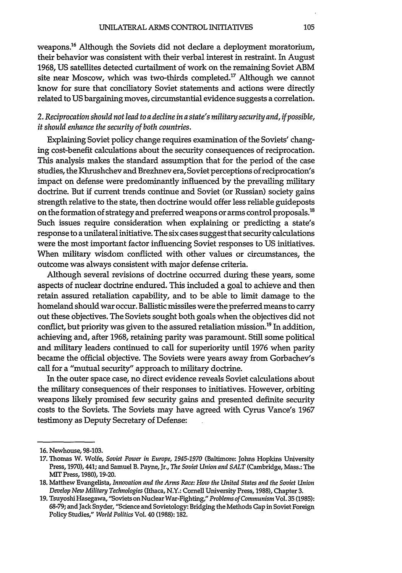weapons.16 Although the Soviets did not declare a deployment moratorium, their behavior was consistent with their verbal interest in restraint. In August 1968, **US** satellites detected curtailment of work on the remaining Soviet ABM site near Moscow, which was two-thirds completed.<sup>17</sup> Although we cannot know for sure that conciliatory Soviet statements and actions were directly related to **US** bargaining moves, circumstantial evidence suggests a correlation.

# *2. Reciprocation should not lead to a decline* in a *state's military security and, if possible, it should enhance the security of both countries.*

Explaining Soviet policy change requires examination of the Soviets' changing cost-benefit calculations about the security consequences of reciprocation. This analysis makes the standard assumption that for the period of the case studies, the Khrushchev and Brezhnev era, Soviet perceptions of reciprocation's impact on defense were predominantly influenced by the prevailing military doctrine. But if current trends continue and Soviet (or Russian) society gains strength relative to the state, then doctrine would offer less reliable guideposts on the formation of strategy and preferred weapons or arms control proposals.<sup>18</sup> Such issues require consideration when explaining or predicting a state's response to a unilateral initiative. The six cases suggest that security calculations were the most important factor influencing Soviet responses to **US** initiatives. When military wisdom conflicted with other values or circumstances, the outcome was always consistent with major defense criteria.

Although several revisions of doctrine occurred during these years, some aspects of nuclear doctrine endured. This included a goal to achieve and then retain assured retaliation capability, and to be able to limit damage to the homeland should war occur. Ballistic missiles were the preferred means to carry out these objectives. The Soviets sought both goals when the objectives did not conflict, but priority was given to the assured retaliation mission.<sup>19</sup> In addition, achieving and, after 1968, retaining parity was paramount. Still some political and military leaders continued to call for superiority until 1976 when parity became the official objective. The Soviets were years away from Gorbachev's call for a "mutual security" approach to military doctrine.

In the outer space case, no direct evidence reveals Soviet calculations about the military consequences of their responses to initiatives. However, orbiting weapons likely promised few security gains and presented definite security costs to the Soviets. The Soviets may have agreed with Cyrus Vance's 1967 testimony as Deputy Secretary of Defense:

**<sup>16.</sup>** Newhouse, 98-103.

**<sup>17.</sup>** Thomas W. Wolfe, *Soviet Power in Europe, 1945-1970* (Baltimore: Johns Hopkins University Press, 1970), 441; and Samuel B. Payne, Jr., *The Soviet Union and SALT* (Cambridge, Mass.: The MIT Press, 1980), 19-20.

**<sup>18.</sup>** Matthew Evangelista, *Innovation and the Arms Race: How the United States and the Soviet Union Develop New Military Technologies* (Ithaca, N.Y.: Cornell University Press, 1988), Chapter 3.

**<sup>19.</sup>** TsuyoshiHasegawa, "Soviets on Nuclear War-Fighting," *Problems of Communism* Vol. **35** (1985): 68-79; and Jack Snyder, "Science and Sovietology: Bridging the Methods Gap in Soviet Foreign Policy Studies," *World Politics* Vol. 40 (1988): 182.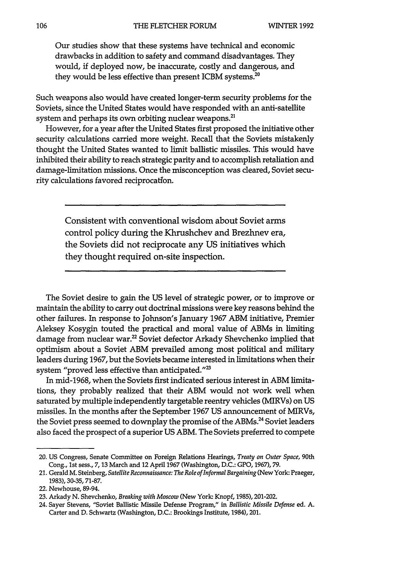Our studies show that these systems have technical and economic drawbacks in addition to safety and command disadvantages. They would, **if** deployed now, be inaccurate, costly and dangerous, and they would be less effective than present ICBM systems. $^{20}$ 

Such weapons also would have created longer-term security problems for the Soviets, since the United States would have responded with an anti-satellite system and perhaps its own orbiting nuclear weapons.<sup>21</sup>

However, for a year after the United States first proposed the initiative other security calculations carried more weight. Recall that the Soviets mistakenly thought the United States wanted to limit ballistic missiles. This would have inhibited their ability to reach strategic parity and to accomplish retaliation and damage-limitation missions. Once the misconception was cleared, Soviet security calculations favored reciprocation.

> Consistent with conventional wisdom about Soviet arms control policy during the Khrushchev and Brezhnev era, the Soviets did not reciprocate any **US** initiatives which they thought required on-site inspection.

The Soviet desire to gain the US level of strategic power, or to improve or maintain the ability to carry out doctrinal missions were key reasons behind the other failures. In response to Johnson's January 1967 ABM initiative, Premier Aleksey Kosygin touted the practical and moral value of ABMs in limiting damage from nuclear war.<sup>22</sup> Soviet defector Arkady Shevchenko implied that optimism about a Soviet ABM prevailed among most political and military leaders during 1967, but the Soviets became interested in limitations when their system "proved less effective than anticipated."<sup>23</sup>

In mid-1968, when the Soviets first indicated serious interest in ABM limitations, they probably realized that their ABM would not work well when saturated by multiple independently targetable reentry vehicles (MIRVs) on US missiles. In the months after the September 1967 **US** announcement of MIRVs, the Soviet press seemed to downplay the promise of the ABMs.<sup>24</sup> Soviet leaders also faced the prospect of a superior US ABM. The Soviets preferred to compete

<sup>20.</sup> **US** Congress, Senate Committee on Foreign Relations Hearings, *Treaty on Outer Space,* 90th Cong., **1st** sess., **7,13** March and 12 April **1967** (Washington, **D.C.: GPO, 1967), 79.**

<sup>21.</sup> Gerald M. Steinberg, *Satellite Reconnaissance: The Role of Informal Bargaining* (New York: Praeger, **1983), 30-35, 71-87.**

<sup>22.</sup> Newhouse, 89-94.

**<sup>23.</sup>** Arkady **N.** Shevchenko, *Breaking with Moscow* (New York. Knopf, **1985),** 201-202.

<sup>24.</sup> Sayer Stevens, "Soviet Ballistic Missile Defense Program," in *Ballistic Missile Defense* ed. **A.** Carter and **D.** Schwartz (Washington, **D.C.:** Brookings Institute, 1984), 201.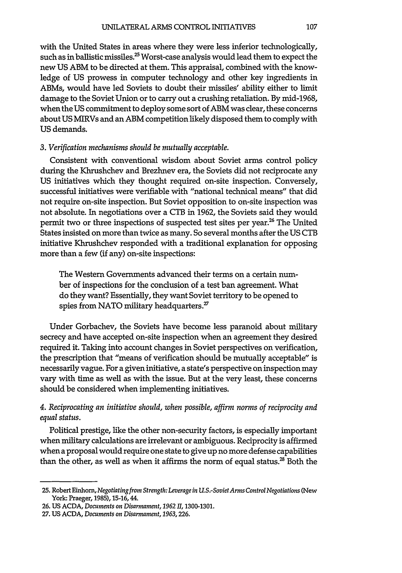with the United States in areas where they were less inferior technologically, such as in ballistic missiles.<sup>25</sup> Worst-case analysis would lead them to expect the new US ABM to be directed at them. This appraisal, combined with the knowledge of US prowess in computer technology and other key ingredients in ABMs, would have led Soviets to doubt their missiles' ability either to limit damage to the Soviet Union or to carry out a crushing retaliation. By mid-1968, when the US commitment to deploy some sort of ABM was clear, these concerns about US MIRVs and an ABM competition likely disposed them to comply with US demands.

#### *3. Verification mechanisms should be mutually acceptable.*

Consistent with conventional wisdom about Soviet arms control policy during the Khrushchev and Brezhnev era, the Soviets did not reciprocate any US initiatives which they thought required on-site inspection. Conversely, successful initiatives were verifiable with "national technical means" that did not require on-site inspection. But Soviet opposition to on-site inspection was not absolute. In negotiations over a CTB in 1962, the Soviets said they would permit two or three inspections of suspected test sites per year.<sup>26</sup> The United States insisted on more than twice as many. So several months after the US CTB initiative Khrushchev responded with a traditional explanation for opposing more than a few (if any) on-site inspections:

The Western Governments advanced their terms on a certain number of inspections for the condusion of a test ban agreement. What do they want? Essentially, they want Soviet territory to be opened to spies from NATO military headquarters. $^{27}$ 

Under Gorbachev, the Soviets have become less paranoid about military secrecy and have accepted on-site inspection when an agreement they desired required it. Taking into account changes in Soviet perspectives on verification, the prescription that "means of verification should be mutually acceptable" is necessarily vague. For a given initiative, a state's perspective on inspection may vary with time as well as with the issue. But at the very least, these concerns should be considered when implementing initiatives.

# *4. Reciprocating an initiative should, when possible, affirm norms of reciprocity and equal status.*

Political prestige, like the other non-security factors, is especially important when military calculations are irrelevant or ambiguous. Reciprocity is affirmed when a proposal would require one state to give up no more defense capabilities than the other, as well as when it affirms the norm of equal status. $^{28}$  Both the

**<sup>25.</sup>** Robert *Einhorn,Negotiating from Strength: Leverage in U.S .-SovietArms Control Negotiations* (New York: Praeger, **1985), 15-16,** 44.

**<sup>26.</sup> US ACDA,** *Documents on Disarmament, 1962 I,* **1300-1301.**

**<sup>27.</sup> US ACDA,** *Documents on Disarmament, 1963,226.*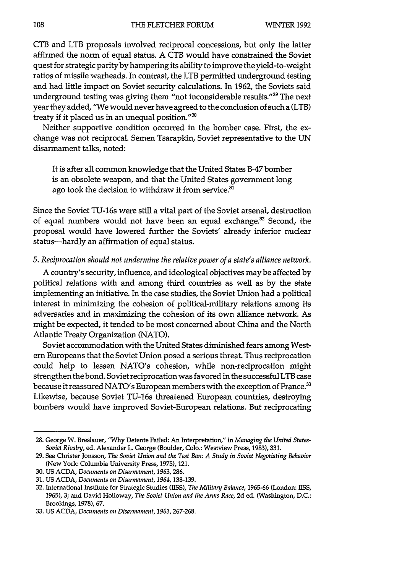CTB and LTB proposals involved reciprocal concessions, but only the latter affirmed the norm of equal status. A CTB would have constrained the Soviet quest for strategic parity by hampering its ability to improve the yield-to-weight ratios of missile warheads. In contrast, the LTB permitted underground testing and had little impact on Soviet security calculations. In 1962, the Soviets said underground testing was giving them "not inconsiderable results."<sup>29</sup> The next year they added, "We would never have agreed to the conclusion of such a (LTB) treaty if it placed us in an unequal position."<sup>30</sup>

Neither supportive condition occurred in the bomber case. First, the exchange was not reciprocal. Semen Tsarapkin, Soviet representative to the UN disarmament talks, noted:

It is after all common knowledge that the United States B-47 bomber is an obsolete weapon, and that the United States government long ago took the decision to withdraw it from service.<sup>31</sup>

Since the Soviet TU-16s were still a vital part of the Soviet arsenal, destruction of equal numbers would not have been an equal exchange.<sup>32</sup> Second, the proposal would have lowered further the Soviets' already inferior nuclear status-hardly an affirmation of equal status.

#### *5. Reciprocation should not undermine the relative power of a state's alliance network.*

A country's security, influence, and ideological objectives may be affected by political relations with and among third countries as well as by the state implementing an initiative. In the case studies, the Soviet Union had a political interest in minimizing the cohesion of political-military relations among its adversaries and in maximizing the cohesion of its own alliance network. As might be expected, it tended to be most concerned about China and the North Atlantic Treaty Organization (NATO).

Soviet accommodation with the United States diminished fears among Western Europeans that the Soviet Union posed a serious threat. Thus reciprocation could help to lessen NATO's cohesion, while non-reciprocation might strengthen the bond. Soviet reciprocation was favored in the successful LTB case because it reassured NATO's European members with the exception of France.<sup>33</sup> Likewise, because Soviet TU-16s threatened European countries, destroying bombers would have improved Soviet-European relations. But reciprocating

<sup>28.</sup> George W. Breslauer, "Why Detente Failed: An Interpretation," in *Managing the United States-Soviet Rivalry,* ed. Alexander L. George (Boulder, Colo.: Westview Press, 1983), 331.

<sup>29.</sup> See Christer Jonsson, *The Soviet Union and the Test Ban: A Study in Soviet Negotiating Behavior* (New York: Columbia University Press, 1975), 121.

<sup>30.</sup> **US** ACDA, *Documents on Disarmament, 1963,286.*

<sup>31.</sup> **US** ACDA, *Documents on Disarmament, 1964,* 138-139.

<sup>32.</sup> International Institute for Strategic Studies (USS), *The Military Balance,* 1965-66 (London: **TISS,** 1965), 3; and David Holloway, *The Soviet Union and the Arms Race,* 2d ed. (Washington, D.C.: Brookings, 1978), 67.

<sup>33.</sup> **US** ACDA, *Documents on Disarmament,* 1963,267-268.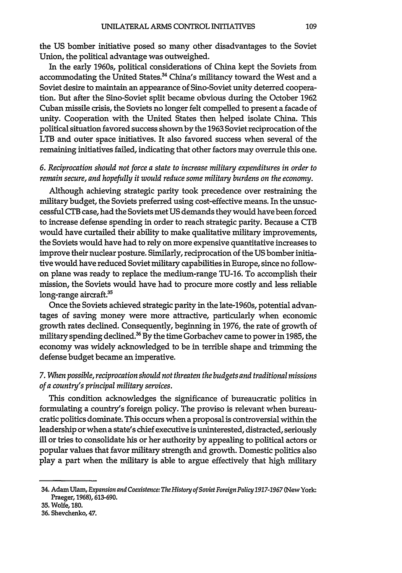the US bomber initiative posed so many other disadvantages to the Soviet Union, the political advantage was outweighed.

In the early 1960s, political considerations of China kept the Soviets from accommodating the United States.<sup>34</sup> China's militancy toward the West and a Soviet desire to maintain an appearance of Sino-Soviet unity deterred cooperation. But after the Sino-Soviet split became obvious during the October 1962 Cuban missile crisis, the Soviets no longer felt compelled to present a facade of unity. Cooperation with the United States then helped isolate China. This political situation favored success shown by the 1963 Soviet reciprocation of the LTB and outer space initiatives. It also favored success when several of the remaining initiatives failed, indicating that other factors may overrule this one.

## *6. Reciprocation should not force a state to increase military expenditures in order to remain secure, and hopefully it would reduce some military burdens on the economy.*

Although achieving strategic parity took precedence over restraining the military budget, the Soviets preferred using cost-effective means. In the unsuccessful CrB case, had the Soviets met US demands they would have been forced to increase defense spending in order to reach strategic parity. Because a CTB would have curtailed their ability to make qualitative military improvements, the Soviets would have had to rely on more expensive quantitative increases to improve their nuclear posture. Similarly, reciprocation of the US bomber initiative would have reduced Soviet military capabilities in Europe, since no followon plane was ready to replace the medium-range TU-16. To accomplish their mission, the Soviets would have had to procure more costly and less reliable long-range aircraft.<sup>35</sup>

Once the Soviets achieved strategic parity in the late-1960s, potential advantages of saving money were more attractive, particularly when economic growth rates declined. Consequently, beginning in 1976, the rate of growth of military spending declined.<sup>36</sup> By the time Gorbachev came to power in 1985, the economy was widely acknowledged to be in terrible shape and trimming the defense budget became an imperative.

# *7. When possible, reciprocation should not threaten the budgets and traditional missions of a country's principal military services.*

This condition acknowledges the significance of bureaucratic politics in formulating a country's foreign policy. The proviso is relevant when bureaucratic politics dominate. This occurs when a proposal is controversial within the leadership or when a state's chief executive is uninterested, distracted, seriously ill or tries to consolidate his or her authority **by** appealing to political actors or popular values that favor military strength and growth. Domestic politics also play a part when the military is able to argue effectively that high military

<sup>34.</sup> Adam Ulam, *Expansion and Coexistence: TheHistory of Soviet Foreign Policy 1917-1967* (New York: Praeger, **1968), 613-690.**

**<sup>35.</sup>** Wolfe, **180.**

<sup>36.</sup> Shevchenko, 47.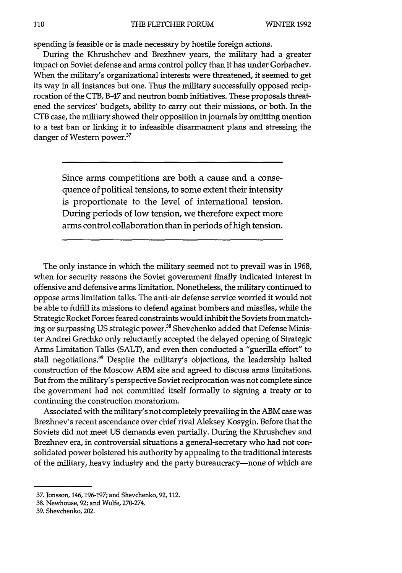spending is feasible or is made necessary by hostile foreign actions.

During the Khrushchev and Brezhnev years, the military had a greater impact on Soviet defense and arms control policy than it has under Gorbachev. When the military's organizational interests were threatened, it seemed to get its way in all instances but one. Thus the military successfully opposed reciprocation of the CTB, B-47 and neutron bomb initiatives. These proposals threatened the services' budgets, ability to carry out their missions, or both. In the CTB case, the military showed their opposition in journals by omitting mention to a test ban or linking it to infeasible disarmament plans and stressing the danger of Western power.<sup>37</sup>

> Since arms competitions are both a cause and a consequence of political tensions, to some extent their intensity is proportionate to the level of international tension. During periods of low tension, we therefore expect more arms control collaboration than in periods of high tension.

The only instance in which the military seemed not to prevail was in 1968, when for security reasons the Soviet government finally indicated interest in offensive and defensive arms limitation. Nonetheless, the military continued to oppose arms limitation talks. The anti-air defense service worried it would not be able to fulfill its missions to defend against bombers and missiles, while the Strategic Rocket Forces feared constraints would inhibit the Soviets from matching or surpassing US strategic power.<sup>38</sup> Shevchenko added that Defense Minister Andrei Grechko only reluctantly accepted the delayed opening of Strategic Arms Limitation Talks (SALT), and even then conducted a "guerilla effort" to stall negotiations.<sup>39</sup> Despite the military's objections, the leadership halted construction of the Moscow ABM site and agreed to discuss arms limitations. But from the military's perspective Soviet reciprocation was not complete since the government had not committed itself formally to signing a treaty or to continuing the construction moratorium.

Associated with the military's not completely prevailing in the ABM case was Brezhnev's recent ascendance over chief rival Aleksey Kosygin. Before that the Soviets did not meet US demands even partially. During the Khrushchev and Brezhnev era, in controversial situations a general-secretary who had not consolidated power bolstered his authority by appealing to the traditional interests of the military, heavy industry and the party bureaucracy-none of which are

**<sup>37.</sup>** Jonsson, 146,196-197; and Shevchenko, **92,112.**

**<sup>38.</sup>** Newhouse, **92;** and Wolfe, 270-274.

<sup>39.</sup> Shevchenko, 202.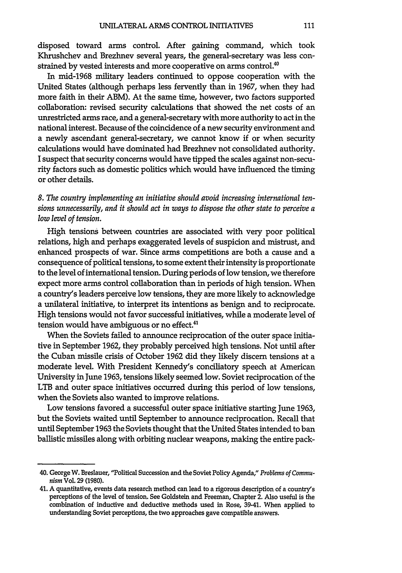disposed toward arms control. After gaining command, which took Khrushchev and Brezhnev several years, the general-secretary was less constrained by vested interests and more cooperative on arms control.<sup>40</sup>

In mid-1968 military leaders continued to oppose cooperation with the United States (although perhaps less fervently than in **1967,** when they had more faith in their ABM). At the same time, however, two factors supported collaboration: revised security calculations that showed the net costs of an unrestricted arms race, and a general-secretary with more authority to act in the national interest. Because of the coincidence of a new security environment and a newly ascendant general-secretary, we cannot know **if** or when security calculations would have dominated had Brezhnev not consolidated authority. **I** suspect that security concerns would have tipped the scales against non-security factors such as domestic politics which would have influenced the timing or other details.

*8. The country implementing an initiative should avoid increasing international tensions unnecessarily, and it should act in ways to dispose the other state to perceive a low level of tension.*

High tensions between countries are associated with very poor political relations, high and perhaps exaggerated levels of suspicion and mistrust, and enhanced prospects of war. Since arms competitions are both a cause and a consequence of political tensions, to some extent their intensity is proportionate to the level of international tension. During periods of low tension, we therefore expect more arms control collaboration than in periods of high tension. When a country's leaders perceive low tensions, they are more likely to acknowledge a unilateral initiative, to interpret its intentions as benign and to reciprocate. **High** tensions would not favor successful initiatives, while a moderate level of tension would have ambiguous or no effect.<sup>41</sup>

When the Soviets failed to announce reciprocation of the outer space initiative in September **1962,** they probably perceived high tensions. Not until after the Cuban missile crisis of October **1962** did they likely discern tensions at a moderate level. With President Kennedy's conciliatory speech at American University in June **1963,** tensions likely seemed low. Soviet reciprocation of the LTB and outer space initiatives occurred during this period of low tensions, when the Soviets also wanted to improve relations.

Low tensions favored a successful outer space initiative starting June **1963,** but the Soviets waited until September to announce reciprocation. Recall that until September **1963** the Soviets thought that the United States intended to ban ballistic missiles along with orbiting nuclear weapons, making the entire pack-

<sup>40.</sup> George W. Breslauer, "Political Succession and the Soviet Policy Agenda," *Problems of Communism* Vol. **29 (1980).**

<sup>41.</sup> **A** quantitative, events data research method can lead to a rigorous description of a country's perceptions of the level of tension. See Goldstein and Freeman, Chapter 2. Also useful is the combination of inductive and deductive methods used in Rose, 39-41. When applied to understanding Soviet perceptions, the two approaches gave compatible answers.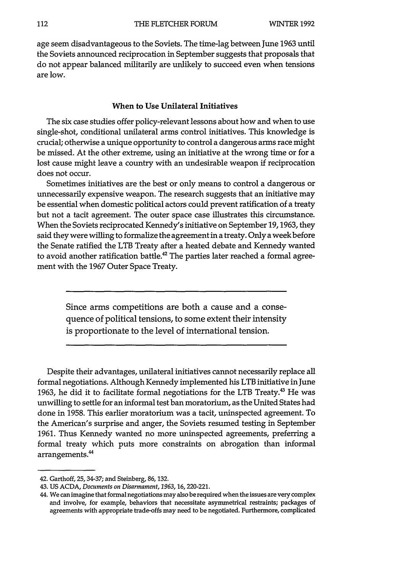age seem disadvantageous to the Soviets. The time-lag between June **1963** until the Soviets announced reciprocation in September suggests that proposals that do not appear balanced militarily are unlikely to succeed even when tensions are low.

#### When to Use Unilateral Initiatives

The six case studies offer policy-relevant lessons about how and when to use single-shot, conditional unilateral arms control initiatives. This knowledge is crucial; otherwise a unique opportunity to control a dangerous arms race might be missed. At the other extreme, using an initiative at the wrong time or for a lost cause might leave a country with an undesirable weapon if reciprocation does not occur.

Sometimes initiatives are the best or only means to control a dangerous or unnecessarily expensive weapon. The research suggests that an initiative may be essential when domestic political actors could prevent ratification of a treaty but not a tacit agreement. The outer space case illustrates this circumstance. When the Soviets reciprocated Kennedy's initiative on September **19,1963,** they said they were willing to formalize the agreement in a treaty. Only a week before the Senate ratified the LTB Treaty after a heated debate and Kennedy wanted to avoid another ratification battle.<sup>42</sup> The parties later reached a formal agreement with the **1967** Outer Space Treaty.

> Since arms competitions are both a cause and a consequence of political tensions, to some extent their intensity is proportionate to the level of international tension.

Despite their advantages, unilateral initiatives cannot necessarily replace all formal negotiations. Although Kennedy implemented his LTB initiative in June 1963, he did it to facilitate formal negotiations for the LTB Treaty.<sup>43</sup> He was unwilling to settle for an informal test ban moratorium, as the United States had done in **1958.** This earlier moratorium was a tacit, uninspected agreement. To the American's surprise and anger, the Soviets resumed testing in September **1961.** Thus Kennedy wanted no more uninspected agreements, preferring a formal treaty which puts more constraints on abrogation than informal arrangements.<sup>44</sup>

<sup>42.</sup> Garthoff, **25,** 34-37; and Steinberg, 86, 132.

<sup>43.</sup> **US** ACDA, *Documents on Disarmament, 1963,16,* 220-221.

<sup>44.</sup> We can imagine that formal negotiations may also be required when the issues are very complex and involve, for example, behaviors that necessitate asymmetrical restraints; packages of agreements with appropriate trade-offs may need to be negotiated. Furthermore, complicated